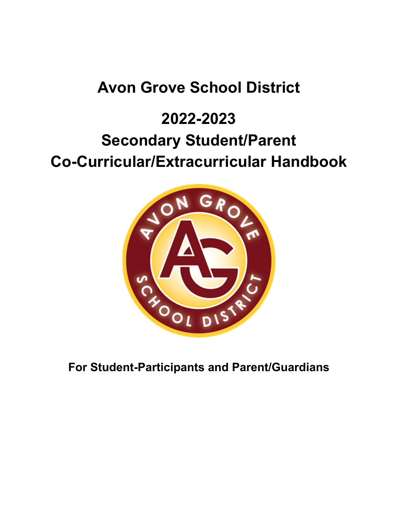# **Avon Grove School District**

# **2022-2023 Secondary Student/Parent Co-Curricular/Extracurricular Handbook**



**For Student-Participants and Parent/Guardians**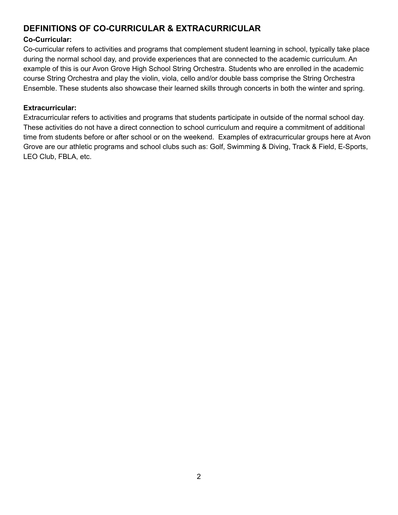# **DEFINITIONS OF CO-CURRICULAR & EXTRACURRICULAR**

#### **Co-Curricular:**

 Co-curricular refers to activities and programs that complement student learning in school, typically take place during the normal school day, and provide experiences that are connected to the academic curriculum. An example of this is our Avon Grove High School String Orchestra. Students who are enrolled in the academic course String Orchestra and play the violin, viola, cello and/or double bass comprise the String Orchestra Ensemble. These students also showcase their learned skills through concerts in both the winter and spring.

#### **Extracurricular:**

 Extracurricular refers to activities and programs that students participate in outside of the normal school day. These activities do not have a direct connection to school curriculum and require a commitment of additional time from students before or after school or on the weekend. Examples of extracurricular groups here at Avon Grove are our athletic programs and school clubs such as: Golf, Swimming & Diving, Track & Field, E-Sports, LEO Club, FBLA, etc.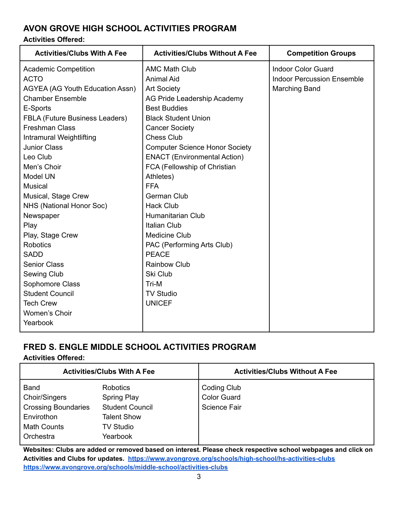# **AVON GROVE HIGH SCHOOL ACTIVITIES PROGRAM**

#### **Activities Offered:**

| <b>Activities/Clubs With A Fee</b> | <b>Activities/Clubs Without A Fee</b> | <b>Competition Groups</b>         |
|------------------------------------|---------------------------------------|-----------------------------------|
| <b>Academic Competition</b>        | <b>AMC Math Club</b>                  | Indoor Color Guard                |
| <b>ACTO</b>                        | <b>Animal Aid</b>                     | <b>Indoor Percussion Ensemble</b> |
| AGYEA (AG Youth Education Assn)    | <b>Art Society</b>                    | <b>Marching Band</b>              |
| <b>Chamber Ensemble</b>            | AG Pride Leadership Academy           |                                   |
| E-Sports                           | <b>Best Buddies</b>                   |                                   |
| FBLA (Future Business Leaders)     | <b>Black Student Union</b>            |                                   |
| <b>Freshman Class</b>              | <b>Cancer Society</b>                 |                                   |
| Intramural Weightlifting           | <b>Chess Club</b>                     |                                   |
| <b>Junior Class</b>                | <b>Computer Science Honor Society</b> |                                   |
| Leo Club                           | <b>ENACT</b> (Environmental Action)   |                                   |
| Men's Choir                        | FCA (Fellowship of Christian          |                                   |
| <b>Model UN</b>                    | Athletes)                             |                                   |
| Musical                            | <b>FFA</b>                            |                                   |
| Musical, Stage Crew                | German Club                           |                                   |
| NHS (National Honor Soc)           | <b>Hack Club</b>                      |                                   |
| Newspaper                          | <b>Humanitarian Club</b>              |                                   |
| Play                               | <b>Italian Club</b>                   |                                   |
| Play, Stage Crew                   | <b>Medicine Club</b>                  |                                   |
| <b>Robotics</b>                    | PAC (Performing Arts Club)            |                                   |
| <b>SADD</b>                        | <b>PEACE</b>                          |                                   |
| <b>Senior Class</b>                | <b>Rainbow Club</b>                   |                                   |
| Sewing Club                        | Ski Club                              |                                   |
| Sophomore Class                    | Tri-M                                 |                                   |
| <b>Student Council</b>             | <b>TV Studio</b>                      |                                   |
| <b>Tech Crew</b>                   | <b>UNICEF</b>                         |                                   |
| Women's Choir                      |                                       |                                   |
| Yearbook                           |                                       |                                   |

# **FRED S. ENGLE MIDDLE SCHOOL ACTIVITIES PROGRAM**

#### **Activities Offered:**

|                            | <b>Activities/Clubs With A Fee</b> | <b>Activities/Clubs Without A Fee</b> |
|----------------------------|------------------------------------|---------------------------------------|
| <b>Band</b>                | <b>Robotics</b>                    | Coding Club                           |
| <b>Choir/Singers</b>       | Spring Play                        | <b>Color Guard</b>                    |
| <b>Crossing Boundaries</b> | <b>Student Council</b>             | <b>Science Fair</b>                   |
| Envirothon                 | <b>Talent Show</b>                 |                                       |
| <b>Math Counts</b>         | <b>TV Studio</b>                   |                                       |
| Orchestra                  | Yearbook                           |                                       |

Websites: Clubs are added or removed based on interest. Please check respective school webpages and click on  **Activities and Clubs for updates. <https://www.avongrove.org/schools/high-school/hs-activities-clubs> <https://www.avongrove.org/schools/middle-school/activities-clubs>**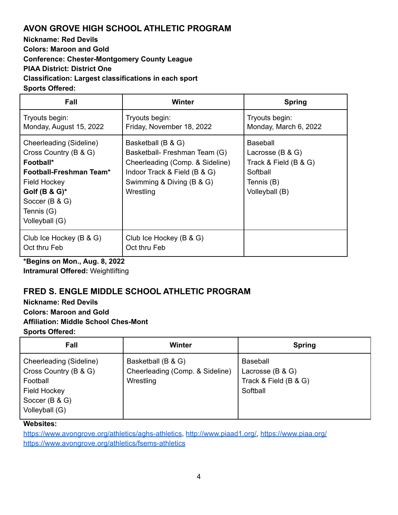# **AVON GROVE HIGH SCHOOL ATHLETIC PROGRAM**

 **Nickname: Red Devils Colors: Maroon and Gold Conference: Chester-Montgomery County League PIAA District: District One Classification: Largest classifications in each sport**

**Sports Offered:**

| Fall                                                                                                                                                                                    | Winter                                                                                                                                                           | <b>Spring</b>                                                                                         |
|-----------------------------------------------------------------------------------------------------------------------------------------------------------------------------------------|------------------------------------------------------------------------------------------------------------------------------------------------------------------|-------------------------------------------------------------------------------------------------------|
| Tryouts begin:<br>Monday, August 15, 2022                                                                                                                                               | Tryouts begin:<br>Friday, November 18, 2022                                                                                                                      | Tryouts begin:<br>Monday, March 6, 2022                                                               |
| Cheerleading (Sideline)<br>Cross Country (B & G)<br>Football*<br>Football-Freshman Team*<br><b>Field Hockey</b><br>Golf $(B & G)^*$<br>Soccer (B & G)<br>Tennis $(G)$<br>Volleyball (G) | Basketball (B & G)<br>Basketball- Freshman Team (G)<br>Cheerleading (Comp. & Sideline)<br>Indoor Track & Field (B & G)<br>Swimming & Diving (B & G)<br>Wrestling | Baseball<br>Lacrosse $(B & G)$<br>Track & Field $(B & G)$<br>Softball<br>Tennis (B)<br>Volleyball (B) |
| Club Ice Hockey (B & G)<br>Oct thru Feb                                                                                                                                                 | Club Ice Hockey (B & G)<br>Oct thru Feb                                                                                                                          |                                                                                                       |

 **\*Begins on Mon., Aug. 8, 2022 Intramural Offered:** Weightlifting

# **FRED S. ENGLE MIDDLE SCHOOL ATHLETIC PROGRAM**

 **Nickname: Red Devils Colors: Maroon and Gold Affiliation: Middle School Ches-Mont Sports Offered:**

| Fall                                                                                                                    | Winter                                                             | <b>Spring</b>                                                     |
|-------------------------------------------------------------------------------------------------------------------------|--------------------------------------------------------------------|-------------------------------------------------------------------|
| Cheerleading (Sideline)<br>Cross Country (B & G)<br>Football<br><b>Field Hockey</b><br>Soccer (B & G)<br>Volleyball (G) | Basketball (B & G)<br>Cheerleading (Comp. & Sideline)<br>Wrestling | Baseball<br>Lacrosse (B & G)<br>Track & Field (B & G)<br>Softball |

#### **Websites:**

[https://www.avongrove.org/athletics/aghs-athletics,](https://www.avongrove.org/athletics/aghs-athletics) [http://www.piaad1.org/,](http://www.piaad1.org/) <https://www.piaa.org/> <https://www.avongrove.org/athletics/fsems-athletics>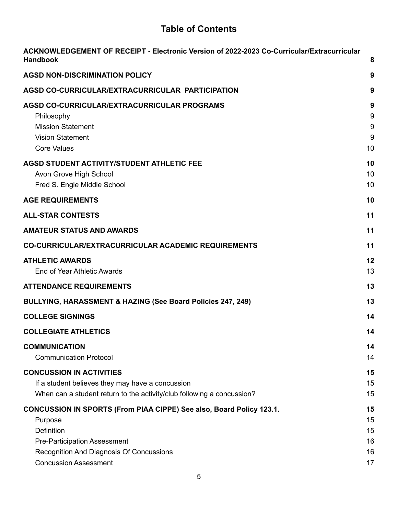# **Table of Contents**

| ACKNOWLEDGEMENT OF RECEIPT - Electronic Version of 2022-2023 Co-Curricular/Extracurricular<br><b>Handbook</b>                                                                                             | 8                                |
|-----------------------------------------------------------------------------------------------------------------------------------------------------------------------------------------------------------|----------------------------------|
| <b>AGSD NON-DISCRIMINATION POLICY</b>                                                                                                                                                                     | 9                                |
| AGSD CO-CURRICULAR/EXTRACURRICULAR PARTICIPATION                                                                                                                                                          | 9                                |
| AGSD CO-CURRICULAR/EXTRACURRICULAR PROGRAMS<br>Philosophy<br><b>Mission Statement</b><br><b>Vision Statement</b><br><b>Core Values</b>                                                                    | 9<br>9<br>9<br>9<br>10           |
| <b>AGSD STUDENT ACTIVITY/STUDENT ATHLETIC FEE</b><br>Avon Grove High School<br>Fred S. Engle Middle School<br><b>AGE REQUIREMENTS</b>                                                                     | 10<br>10<br>10<br>10             |
| <b>ALL-STAR CONTESTS</b>                                                                                                                                                                                  | 11                               |
| <b>AMATEUR STATUS AND AWARDS</b>                                                                                                                                                                          | 11                               |
| <b>CO-CURRICULAR/EXTRACURRICULAR ACADEMIC REQUIREMENTS</b>                                                                                                                                                | 11                               |
| <b>ATHLETIC AWARDS</b><br>End of Year Athletic Awards                                                                                                                                                     | 12<br>13                         |
| <b>ATTENDANCE REQUIREMENTS</b>                                                                                                                                                                            | 13                               |
| BULLYING, HARASSMENT & HAZING (See Board Policies 247, 249)                                                                                                                                               | 13                               |
| <b>COLLEGE SIGNINGS</b>                                                                                                                                                                                   | 14                               |
| <b>COLLEGIATE ATHLETICS</b>                                                                                                                                                                               | 14                               |
| <b>COMMUNICATION</b><br><b>Communication Protocol</b>                                                                                                                                                     | 14<br>14                         |
| <b>CONCUSSION IN ACTIVITIES</b><br>If a student believes they may have a concussion<br>When can a student return to the activity/club following a concussion?                                             | 15<br>15<br>15                   |
| CONCUSSION IN SPORTS (From PIAA CIPPE) See also, Board Policy 123.1.<br>Purpose<br>Definition<br>Pre-Participation Assessment<br>Recognition And Diagnosis Of Concussions<br><b>Concussion Assessment</b> | 15<br>15<br>15<br>16<br>16<br>17 |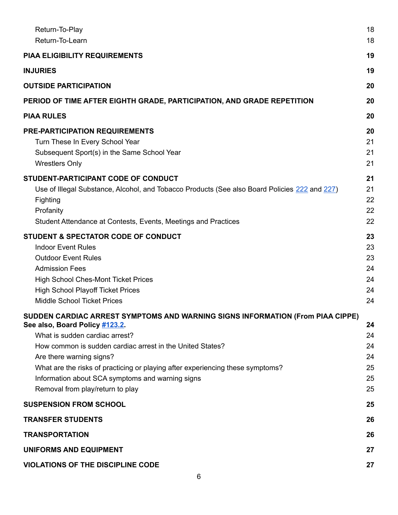| Return-To-Play<br>Return-To-Learn                                                                                                                                                                                                                                                                                                                                                                                     | 18<br>18                               |
|-----------------------------------------------------------------------------------------------------------------------------------------------------------------------------------------------------------------------------------------------------------------------------------------------------------------------------------------------------------------------------------------------------------------------|----------------------------------------|
| <b>PIAA ELIGIBILITY REQUIREMENTS</b>                                                                                                                                                                                                                                                                                                                                                                                  | 19                                     |
| <b>INJURIES</b>                                                                                                                                                                                                                                                                                                                                                                                                       | 19                                     |
| <b>OUTSIDE PARTICIPATION</b>                                                                                                                                                                                                                                                                                                                                                                                          | 20                                     |
| PERIOD OF TIME AFTER EIGHTH GRADE, PARTICIPATION, AND GRADE REPETITION                                                                                                                                                                                                                                                                                                                                                | 20                                     |
| <b>PIAA RULES</b>                                                                                                                                                                                                                                                                                                                                                                                                     | 20                                     |
| <b>PRE-PARTICIPATION REQUIREMENTS</b><br>Turn These In Every School Year<br>Subsequent Sport(s) in the Same School Year<br><b>Wrestlers Only</b>                                                                                                                                                                                                                                                                      | 20<br>21<br>21<br>21                   |
| STUDENT-PARTICIPANT CODE OF CONDUCT<br>Use of Illegal Substance, Alcohol, and Tobacco Products (See also Board Policies 222 and 227)<br>Fighting<br>Profanity<br>Student Attendance at Contests, Events, Meetings and Practices                                                                                                                                                                                       | 21<br>21<br>22<br>22<br>22             |
| <b>STUDENT &amp; SPECTATOR CODE OF CONDUCT</b><br><b>Indoor Event Rules</b><br><b>Outdoor Event Rules</b><br><b>Admission Fees</b><br><b>High School Ches-Mont Ticket Prices</b><br><b>High School Playoff Ticket Prices</b><br><b>Middle School Ticket Prices</b>                                                                                                                                                    | 23<br>23<br>23<br>24<br>24<br>24<br>24 |
| SUDDEN CARDIAC ARREST SYMPTOMS AND WARNING SIGNS INFORMATION (From PIAA CIPPE)<br>See also, Board Policy #123.2.<br>What is sudden cardiac arrest?<br>How common is sudden cardiac arrest in the United States?<br>Are there warning signs?<br>What are the risks of practicing or playing after experiencing these symptoms?<br>Information about SCA symptoms and warning signs<br>Removal from play/return to play | 24<br>24<br>24<br>24<br>25<br>25<br>25 |
| <b>SUSPENSION FROM SCHOOL</b>                                                                                                                                                                                                                                                                                                                                                                                         | 25                                     |
| <b>TRANSFER STUDENTS</b>                                                                                                                                                                                                                                                                                                                                                                                              | 26                                     |
| <b>TRANSPORTATION</b>                                                                                                                                                                                                                                                                                                                                                                                                 | 26                                     |
| <b>UNIFORMS AND EQUIPMENT</b>                                                                                                                                                                                                                                                                                                                                                                                         | 27                                     |
| <b>VIOLATIONS OF THE DISCIPLINE CODE</b>                                                                                                                                                                                                                                                                                                                                                                              | 27                                     |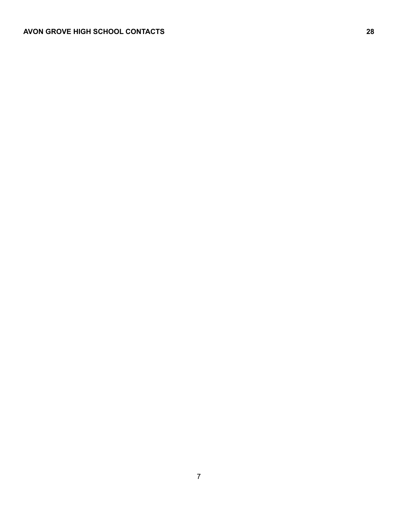#### <span id="page-6-0"></span>**AVON GROVE HIGH SCHOOL CONTACTS 28**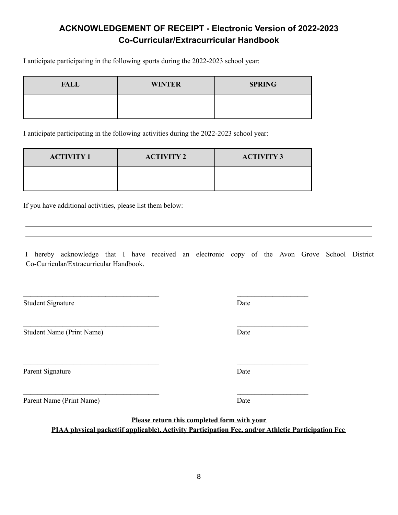# **ACKNOWLEDGEMENT OF RECEIPT - Electronic Version of 2022-2023 Co-Curricular/Extracurricular Handbook**

I anticipate participating in the following sports during the 2022-2023 school year:

| <b>FALL</b> | <b>WINTER</b> | <b>SPRING</b> |
|-------------|---------------|---------------|
|             |               |               |

I anticipate participating in the following activities during the 2022-2023 school year:

| <b>ACTIVITY 1</b> | <b>ACTIVITY 2</b> | <b>ACTIVITY 3</b> |
|-------------------|-------------------|-------------------|
|                   |                   |                   |

 $\mathcal{L}_\text{max}$  and the contract of the contract of the contract of the contract of the contract of the contract of

 $\mathcal{L}_\text{max}$  and the contract of the contract of the contract of the contract of the contract of the contract of

 $\mathcal{L}_\text{max}$  and the contract of the contract of the contract of the contract of the contract of the contract of

 $\mathcal{L}_\text{max}$  and the contract of the contract of the contract of the contract of the contract of the contract of

If you have additional activities, please list them below:

I hereby acknowledge that I have received an electronic copy of the Avon Grove School District Co-Curricular/Extracurricular Handbook.

Student Signature Date

Student Name (Print Name) Date

Parent Signature Date

Parent Name (Print Name) Date

 **Please return this completed form with your PIAA physical packet(if applicable), Activity Participation Fee, and/or Athletic Participation Fee**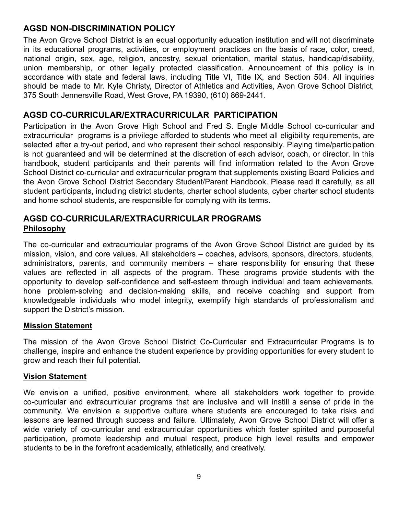## <span id="page-8-0"></span>**AGSD NON-DISCRIMINATION POLICY**

The Avon Grove School District is an equal opportunity education institution and will not discriminate in its educational programs, activities, or employment practices on the basis of race, color, creed, national origin, sex, age, religion, ancestry, sexual orientation, marital status, handicap/disability, union membership, or other legally protected classification. Announcement of this policy is in accordance with state and federal laws, including Title VI, Title IX, and Section 504. All inquiries should be made to Mr. Kyle Christy, Director of Athletics and Activities, Avon Grove School District, 375 South Jennersville Road, West Grove, PA 19390, (610) 869-2441.

## <span id="page-8-1"></span> **AGSD CO-CURRICULAR/EXTRACURRICULAR PARTICIPATION**

Participation in the Avon Grove High School and Fred S. Engle Middle School co-curricular and extracurricular programs is a privilege afforded to students who meet all eligibility requirements, are selected after a try-out period, and who represent their school responsibly. Playing time/participation is not guaranteed and will be determined at the discretion of each advisor, coach, or director. In this handbook, student participants and their parents will find information related to the Avon Grove School District co-curricular and extracurricular program that supplements existing Board Policies and the Avon Grove School District Secondary Student/Parent Handbook. Please read it carefully, as all student participants, including district students, charter school students, cyber charter school students and home school students, are responsible for complying with its terms.

## <span id="page-8-3"></span><span id="page-8-2"></span>**AGSD CO-CURRICULAR/EXTRACURRICULAR PROGRAMS Philosophy**

The co-curricular and extracurricular programs of the Avon Grove School District are guided by its mission, vision, and core values. All stakeholders – coaches, advisors, sponsors, directors, students, administrators, parents, and community members – share responsibility for ensuring that these values are reflected in all aspects of the program. These programs provide students with the opportunity to develop self-confidence and self-esteem through individual and team achievements, hone problem-solving and decision-making skills, and receive coaching and support from knowledgeable individuals who model integrity, exemplify high standards of professionalism and support the District's mission.

#### <span id="page-8-4"></span>**Mission Statement**

The mission of the Avon Grove School District Co-Curricular and Extracurricular Programs is to challenge, inspire and enhance the student experience by providing opportunities for every student to grow and reach their full potential.

#### <span id="page-8-5"></span>**Vision Statement**

We envision a unified, positive environment, where all stakeholders work together to provide co-curricular and extracurricular programs that are inclusive and will instill a sense of pride in the community. We envision a supportive culture where students are encouraged to take risks and lessons are learned through success and failure. Ultimately, Avon Grove School District will offer a wide variety of co-curricular and extracurricular opportunities which foster spirited and purposeful participation, promote leadership and mutual respect, produce high level results and empower students to be in the forefront academically, athletically, and creatively.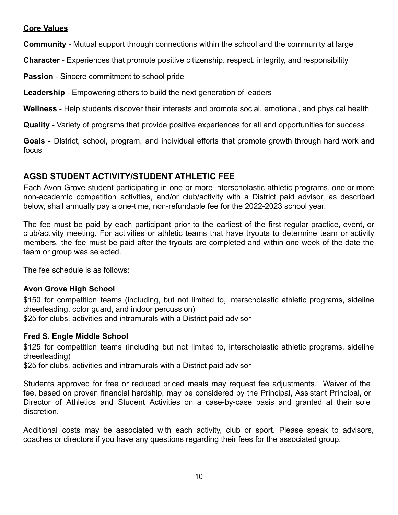## <span id="page-9-0"></span>**Core Values**

**Community** - Mutual support through connections within the school and the community at large

**Character** - Experiences that promote positive citizenship, respect, integrity, and responsibility

**Passion** - Sincere commitment to school pride

**Leadership** - Empowering others to build the next generation of leaders

**Wellness** - Help students discover their interests and promote social, emotional, and physical health

**Quality** - Variety of programs that provide positive experiences for all and opportunities for success

**Goals** - District, school, program, and individual efforts that promote growth through hard work and focus

# <span id="page-9-1"></span> **AGSD STUDENT ACTIVITY/STUDENT ATHLETIC FEE**

Each Avon Grove student participating in one or more interscholastic athletic programs, one or more non-academic competition activities, and/or club/activity with a District paid advisor, as described below, shall annually pay a one-time, non-refundable fee for the 2022-2023 school year.

The fee must be paid by each participant prior to the earliest of the first regular practice, event, or club/activity meeting. For activities or athletic teams that have tryouts to determine team or activity members, the fee must be paid after the tryouts are completed and within one week of the date the team or group was selected.

The fee schedule is as follows:

## <span id="page-9-2"></span>**Avon Grove High School**

\$150 for competition teams (including, but not limited to, interscholastic athletic programs, sideline cheerleading, color guard, and indoor percussion)

\$25 for clubs, activities and intramurals with a District paid advisor

#### <span id="page-9-3"></span>**Fred S. Engle Middle School**

\$125 for competition teams (including but not limited to, interscholastic athletic programs, sideline cheerleading)

\$25 for clubs, activities and intramurals with a District paid advisor

Students approved for free or reduced priced meals may request fee adjustments. Waiver of the fee, based on proven financial hardship, may be considered by the Principal, Assistant Principal, or Director of Athletics and Student Activities on a case-by-case basis and granted at their sole discretion.

Additional costs may be associated with each activity, club or sport. Please speak to advisors, coaches or directors if you have any questions regarding their fees for the associated group.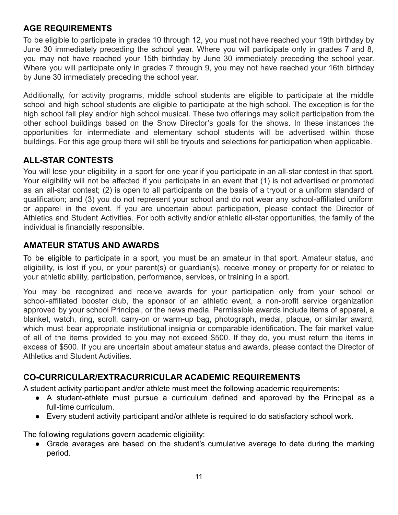# <span id="page-10-0"></span>**AGE REQUIREMENTS**

To be eligible to participate in grades 10 through 12, you must not have reached your 19th birthday by June 30 immediately preceding the school year. Where you will participate only in grades 7 and 8, you may not have reached your 15th birthday by June 30 immediately preceding the school year. Where you will participate only in grades 7 through 9, you may not have reached your 16th birthday by June 30 immediately preceding the school year.

Additionally, for activity programs, middle school students are eligible to participate at the middle school and high school students are eligible to participate at the high school. The exception is for the high school fall play and/or high school musical. These two offerings may solicit participation from the other school buildings based on the Show Director's goals for the shows. In these instances the opportunities for intermediate and elementary school students will be advertised within those buildings. For this age group there will still be tryouts and selections for participation when applicable.

# <span id="page-10-1"></span>**ALL-STAR CONTESTS**

You will lose your eligibility in a sport for one year if you participate in an all-star contest in that sport. Your eligibility will not be affected if you participate in an event that (1) is not advertised or promoted as an all-star contest; (2) is open to all participants on the basis of a tryout or a uniform standard of qualification; and (3) you do not represent your school and do not wear any school-affiliated uniform or apparel in the event. If you are uncertain about participation, please contact the Director of Athletics and Student Activities. For both activity and/or athletic all-star opportunities, the family of the individual is financially responsible.

# <span id="page-10-2"></span> **AMATEUR STATUS AND AWARDS**

To be eligible to participate in a sport, you must be an amateur in that sport. Amateur status, and eligibility, is lost if you, or your parent(s) or guardian(s), receive money or property for or related to your athletic ability, participation, performance, services, or training in a sport.

You may be recognized and receive awards for your participation only from your school or school-affiliated booster club, the sponsor of an athletic event, a non-profit service organization approved by your school Principal, or the news media. Permissible awards include items of apparel, a blanket, watch, ring, scroll, carry-on or warm-up bag, photograph, medal, plaque, or similar award, which must bear appropriate institutional insignia or comparable identification. The fair market value of all of the items provided to you may not exceed \$500. If they do, you must return the items in excess of \$500. If you are uncertain about amateur status and awards, please contact the Director of Athletics and Student Activities.

# <span id="page-10-3"></span>**CO-CURRICULAR/EXTRACURRICULAR ACADEMIC REQUIREMENTS**

A student activity participant and/or athlete must meet the following academic requirements:

- A student-athlete must pursue a curriculum defined and approved by the Principal as a full-time curriculum.
- Every student activity participant and/or athlete is required to do satisfactory school work.

The following regulations govern academic eligibility:

● Grade averages are based on the student's cumulative average to date during the marking period.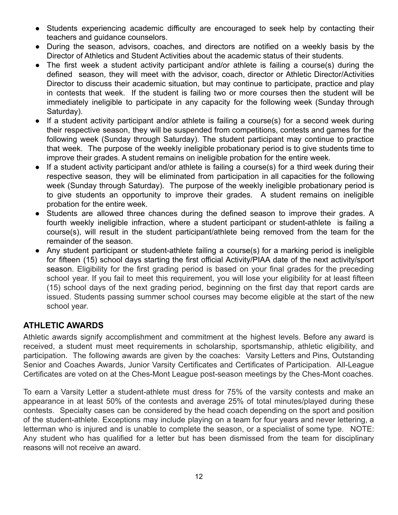- Students experiencing academic difficulty are encouraged to seek help by contacting their teachers and guidance counselors.
- During the season, advisors, coaches, and directors are notified on a weekly basis by the Director of Athletics and Student Activities about the academic status of their students.
- The first week a student activity participant and/or athlete is failing a course(s) during the defined season, they will meet with the advisor, coach, director or Athletic Director/Activities Director to discuss their academic situation, but may continue to participate, practice and play in contests that week. If the student is failing two or more courses then the student will be immediately ineligible to participate in any capacity for the following week (Sunday through Saturday).
- If a student activity participant and/or athlete is failing a course(s) for a second week during their respective season, they will be suspended from competitions, contests and games for the following week (Sunday through Saturday). The student participant may continue to practice that week. The purpose of the weekly ineligible probationary period is to give students time to improve their grades. A student remains on ineligible probation for the entire week.
- If a student activity participant and/or athlete is failing a course(s) for a third week during their respective season, they will be eliminated from participation in all capacities for the following week (Sunday through Saturday). The purpose of the weekly ineligible probationary period is to give students an opportunity to improve their grades. A student remains on ineligible probation for the entire week.
- Students are allowed three chances during the defined season to improve their grades. A fourth weekly ineligible infraction, where a student participant or student-athlete is failing a course(s), will result in the student participant/athlete being removed from the team for the remainder of the season.
- Any student participant or student-athlete failing a course(s) for a marking period is ineligible for fifteen (15) school days starting the first official Activity/PIAA date of the next activity/sport season. Eligibility for the first grading period is based on your final grades for the preceding school year. If you fail to meet this requirement, you will lose your eligibility for at least fifteen (15) school days of the next grading period, beginning on the first day that report cards are issued. Students passing summer school courses may become eligible at the start of the new school year.

# <span id="page-11-0"></span>**ATHLETIC AWARDS**

Athletic awards signify accomplishment and commitment at the highest levels. Before any award is received, a student must meet requirements in scholarship, sportsmanship, athletic eligibility, and participation. The following awards are given by the coaches: Varsity Letters and Pins, Outstanding Senior and Coaches Awards, Junior Varsity Certificates and Certificates of Participation. All-League Certificates are voted on at the Ches-Mont League post-season meetings by the Ches-Mont coaches.

To earn a Varsity Letter a student-athlete must dress for 75% of the varsity contests and make an appearance in at least 50% of the contests and average 25% of total minutes/played during these contests. Specialty cases can be considered by the head coach depending on the sport and position of the student-athlete. Exceptions may include playing on a team for four years and never lettering, a letterman who is injured and is unable to complete the season, or a specialist of some type. NOTE: Any student who has qualified for a letter but has been dismissed from the team for disciplinary reasons will not receive an award.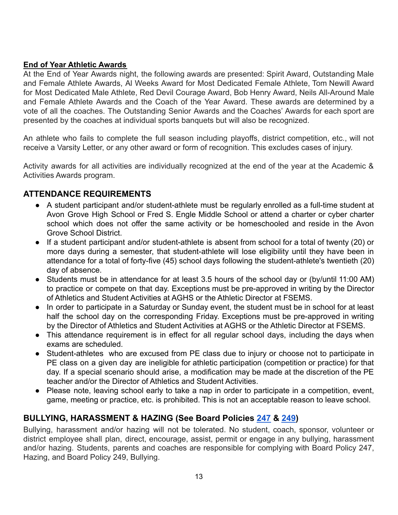#### <span id="page-12-0"></span>**End of Year Athletic Awards**

At the End of Year Awards night, the following awards are presented: Spirit Award, Outstanding Male and Female Athlete Awards, Al Weeks Award for Most Dedicated Female Athlete, Tom Newill Award for Most Dedicated Male Athlete, Red Devil Courage Award, Bob Henry Award, Neils All-Around Male and Female Athlete Awards and the Coach of the Year Award. These awards are determined by a vote of all the coaches. The Outstanding Senior Awards and the Coaches' Awards for each sport are presented by the coaches at individual sports banquets but will also be recognized.

An athlete who fails to complete the full season including playoffs, district competition, etc., will not receive a Varsity Letter, or any other award or form of recognition. This excludes cases of injury.

Activity awards for all activities are individually recognized at the end of the year at the Academic & Activities Awards program.

## <span id="page-12-1"></span>**ATTENDANCE REQUIREMENTS**

- A student participant and/or student-athlete must be regularly enrolled as a full-time student at Avon Grove High School or Fred S. Engle Middle School or attend a charter or cyber charter school which does not offer the same activity or be homeschooled and reside in the Avon Grove School District.
- If a student participant and/or student-athlete is absent from school for a total of twenty (20) or more days during a semester, that student-athlete will lose eligibility until they have been in attendance for a total of forty-five (45) school days following the student-athlete's twentieth (20) day of absence.
- Students must be in attendance for at least 3.5 hours of the school day or (by/until 11:00 AM) to practice or compete on that day. Exceptions must be pre-approved in writing by the Director of Athletics and Student Activities at AGHS or the Athletic Director at FSEMS.
- In order to participate in a Saturday or Sunday event, the student must be in school for at least half the school day on the corresponding Friday. Exceptions must be pre-approved in writing by the Director of Athletics and Student Activities at AGHS or the Athletic Director at FSEMS.
- This attendance requirement is in effect for all regular school days, including the days when exams are scheduled.
- Student-athletes who are excused from PE class due to injury or choose not to participate in PE class on a given day are ineligible for athletic participation (competition or practice) for that day. If a special scenario should arise, a modification may be made at the discretion of the PE teacher and/or the Director of Athletics and Student Activities.
- Please note, leaving school early to take a nap in order to participate in a competition, event, game, meeting or practice, etc. is prohibited. This is not an acceptable reason to leave school.

## <span id="page-12-2"></span> **BULLYING, HARASSMENT & HAZING (See Board Policies [247](http://go.boarddocs.com/pa/avongrove/Board.nsf/goto?open&id=BSLMG75B1D67) & [249](http://go.boarddocs.com/pa/avongrove/Board.nsf/goto?open&id=BSLN6H5DFEFB))**

Bullying, harassment and/or hazing will not be tolerated. No student, coach, sponsor, volunteer or district employee shall plan, direct, encourage, assist, permit or engage in any bullying, harassment and/or hazing. Students, parents and coaches are responsible for complying with Board Policy 247, Hazing, and Board Policy 249, Bullying.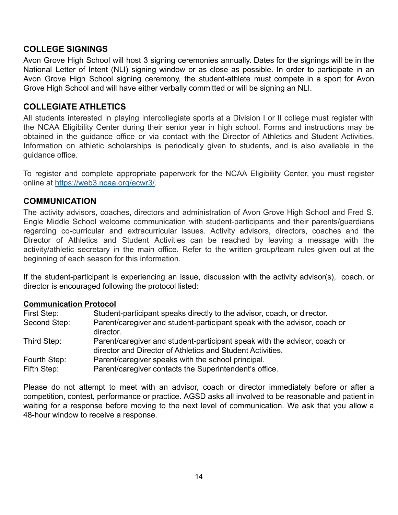## <span id="page-13-0"></span>**COLLEGE SIGNINGS**

Avon Grove High School will host 3 signing ceremonies annually. Dates for the signings will be in the National Letter of Intent (NLI) signing window or as close as possible. In order to participate in an Avon Grove High School signing ceremony, the student-athlete must compete in a sport for Avon Grove High School and will have either verbally committed or will be signing an NLI.

### <span id="page-13-1"></span>**COLLEGIATE ATHLETICS**

All students interested in playing intercollegiate sports at a Division I or II college must register with the NCAA Eligibility Center during their senior year in high school. Forms and instructions may be obtained in the guidance office or via contact with the Director of Athletics and Student Activities. Information on athletic scholarships is periodically given to students, and is also available in the quidance office.

To register and complete appropriate paperwork for the NCAA Eligibility Center, you must register online at <https://web3.ncaa.org/ecwr3/>.

#### <span id="page-13-2"></span>**COMMUNICATION**

The activity advisors, coaches, directors and administration of Avon Grove High School and Fred S. Engle Middle School welcome communication with student-participants and their parents/guardians regarding co-curricular and extracurricular issues. Activity advisors, directors, coaches and the Director of Athletics and Student Activities can be reached by leaving a message with the activity/athletic secretary in the main office. Refer to the written group/team rules given out at the beginning of each season for this information.

If the student-participant is experiencing an issue, discussion with the activity advisor(s), coach, or director is encouraged following the protocol listed:

#### <span id="page-13-3"></span>**Communication Protocol**

| First Step:  | Student-participant speaks directly to the advisor, coach, or director.                                                                 |
|--------------|-----------------------------------------------------------------------------------------------------------------------------------------|
| Second Step: | Parent/caregiver and student-participant speak with the advisor, coach or<br>director.                                                  |
| Third Step:  | Parent/caregiver and student-participant speak with the advisor, coach or<br>director and Director of Athletics and Student Activities. |
| Fourth Step: | Parent/caregiver speaks with the school principal.                                                                                      |
| Fifth Step:  | Parent/caregiver contacts the Superintendent's office.                                                                                  |

Please do not attempt to meet with an advisor, coach or director immediately before or after a competition, contest, performance or practice. AGSD asks all involved to be reasonable and patient in waiting for a response before moving to the next level of communication. We ask that you allow a 48-hour window to receive a response.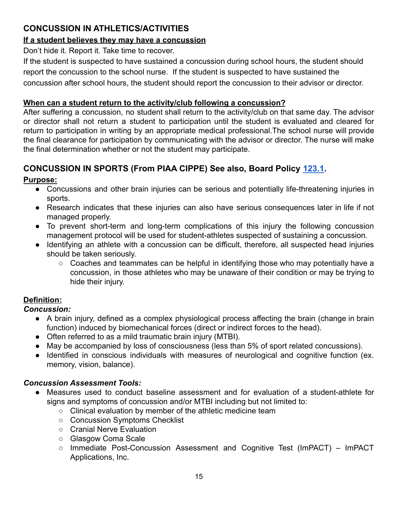# <span id="page-14-4"></span><span id="page-14-0"></span> **CONCUSSION IN ATHLETICS/ACTIVITIES**

## <span id="page-14-1"></span>**If a student believes they may have a concussion**

Don't hide it. Report it. Take time to recover.

If the student is suspected to have sustained a concussion during school hours, the student should report the concussion to the school nurse. If the student is suspected to have sustained the concussion after school hours, the student should report the concussion to their advisor or director.

### <span id="page-14-2"></span>**When can a student return to the activity/club following a concussion?**

After suffering a concussion, no student shall return to the activity/club on that same day. The advisor or director shall not return a student to participation until the student is evaluated and cleared for return to participation in writing by an appropriate medical professional.The school nurse will provide the final clearance for participation by communicating with the advisor or director. The nurse will make the final determination whether or not the student may participate.

# <span id="page-14-3"></span> **CONCUSSION IN SPORTS (From PIAA CIPPE) See also, Board Policy [123.1.](http://go.boarddocs.com/pa/avongrove/Board.nsf/goto?open&id=AXHJHK4D33D8)**

# **Purpose:**

- Concussions and other brain injuries can be serious and potentially life-threatening injuries in sports.
- Research indicates that these injuries can also have serious consequences later in life if not managed properly.
- To prevent short-term and long-term complications of this injury the following concussion management protocol will be used for student-athletes suspected of sustaining a concussion.
- Identifying an athlete with a concussion can be difficult, therefore, all suspected head injuries should be taken seriously.
	- Coaches and teammates can be helpful in identifying those who may potentially have a concussion, in those athletes who may be unaware of their condition or may be trying to hide their injury.

## **Definition:**

## *Concussion:*

- A brain injury, defined as a complex physiological process affecting the brain (change in brain function) induced by biomechanical forces (direct or indirect forces to the head).
- Often referred to as a mild traumatic brain injury (MTBI).
- May be accompanied by loss of consciousness (less than 5% of sport related concussions).
- Identified in conscious individuals with measures of neurological and cognitive function (ex. memory, vision, balance).

## *Concussion Assessment Tools:*

- Measures used to conduct baseline assessment and for evaluation of a student-athlete for signs and symptoms of concussion and/or MTBI including but not limited to:
	- Clinical evaluation by member of the athletic medicine team
	- Concussion Symptoms Checklist
	- Cranial Nerve Evaluation
	- Glasgow Coma Scale
	- Immediate Post-Concussion Assessment and Cognitive Test (ImPACT) ImPACT Applications, Inc.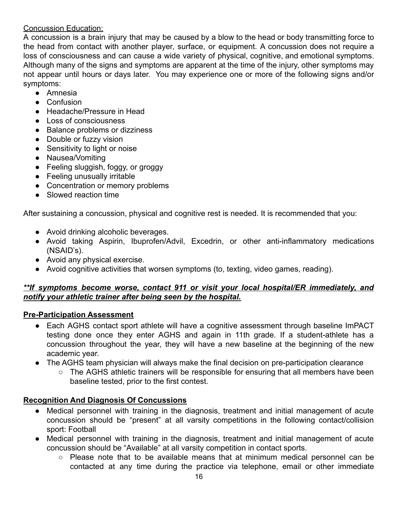## <span id="page-15-0"></span>Concussion Education:

A concussion is a brain injury that may be caused by a blow to the head or body transmitting force to the head from contact with another player, surface, or equipment. A concussion does not require a loss of consciousness and can cause a wide variety of physical, cognitive, and emotional symptoms. Although many of the signs and symptoms are apparent at the time of the injury, other symptoms may not appear until hours or days later. You may experience one or more of the following signs and/or symptoms:

- Amnesia
- Confusion
- Headache/Pressure in Head
- Loss of consciousness
- Balance problems or dizziness
- Double or fuzzy vision
- Sensitivity to light or noise
- Nausea/Vomiting
- Feeling sluggish, foggy, or groggy
- Feeling unusually irritable
- Concentration or memory problems
- Slowed reaction time

After sustaining a concussion, physical and cognitive rest is needed. It is recommended that you:

- Avoid drinking alcoholic beverages.
- Avoid taking Aspirin, Ibuprofen/Advil, Excedrin, or other anti-inflammatory medications (NSAID's).
- Avoid any physical exercise.
- Avoid cognitive activities that worsen symptoms (to, texting, video games, reading).

## *\*\*If symptoms become worse, contact 911 or visit your local hospital/ER immediately, and notify your athletic trainer after being seen by the hospital.*

## **Pre-Participation Assessment**

- Each AGHS contact sport athlete will have a cognitive assessment through baseline ImPACT testing done once they enter AGHS and again in 11th grade. If a student-athlete has a concussion throughout the year, they will have a new baseline at the beginning of the new academic year.
- The AGHS team physician will always make the final decision on pre-participation clearance
	- The AGHS athletic trainers will be responsible for ensuring that all members have been baseline tested, prior to the first contest.

# **Recognition And Diagnosis Of Concussions**

- Medical personnel with training in the diagnosis, treatment and initial management of acute concussion should be "present" at all varsity competitions in the following contact/collision sport: Football
- Medical personnel with training in the diagnosis, treatment and initial management of acute concussion should be "Available" at all varsity competition in contact sports.
	- $\circ$  Please note that to be available means that at minimum medical personnel can be contacted at any time during the practice via telephone, email or other immediate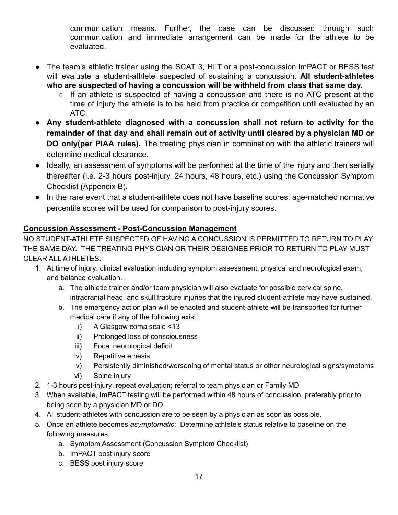communication means. Further, the case can be discussed through such communication and immediate arrangement can be made for the athlete to be evaluated.

- <span id="page-16-0"></span>The team's athletic trainer using the SCAT 3, HIIT or a post-concussion ImPACT or BESS test will evaluate a student-athlete suspected of sustaining a concussion. **All student-athletes who are suspected of having a concussion will be withheld from class that same day.**
	- If an athlete is suspected of having a concussion and there is no ATC present at the time of injury the athlete is to be held from practice or competition until evaluated by an ATC.
- **Any student-athlete diagnosed with a concussion shall not return to activity for the remainder of that day and shall remain out of activity until cleared by a physician MD or DO only(per PIAA rules).** The treating physician in combination with the athletic trainers will determine medical clearance.
- Ideally, an assessment of symptoms will be performed at the time of the injury and then serially thereafter (i.e. 2-3 hours post-injury, 24 hours, 48 hours, etc.) using the Concussion Symptom Checklist (Appendix B).
- In the rare event that a student-athlete does not have baseline scores, age-matched normative percentile scores will be used for comparison to post-injury scores.

## **Concussion Assessment - Post-Concussion Management**

 NO STUDENT-ATHLETE SUSPECTED OF HAVING A CONCUSSION IS PERMITTED TO RETURN TO PLAY THE SAME DAY. THE TREATING PHYSICIAN OR THEIR DESIGNEE PRIOR TO RETURN TO PLAY MUST CLEAR ALL ATHLETES.

- 1. At time of injury: clinical evaluation including symptom assessment, physical and neurological exam, and balance evaluation.
	- a. The athletic trainer and/or team physician will also evaluate for possible cervical spine, intracranial head, and skull fracture injuries that the injured student-athlete may have sustained.
	- b. The emergency action plan will be enacted and student-athlete will be transported for further medical care if any of the following exist:
		- i) A Glasgow coma scale <13
		- ii) Prolonged loss of consciousness
		- iii) Focal neurological deficit
		- iv) Repetitive emesis
		- v) Persistently diminished/worsening of mental status or other neurological signs/symptoms
		- vi) Spine injury
- 2. 1-3 hours post-injury: repeat evaluation; referral to team physician or Family MD
- 3. When available, ImPACT testing will be performed within 48 hours of concussion, preferably prior to being seen by a physician MD or DO.
- 4. All student-athletes with concussion are to be seen by a physician as soon as possible.
- 5. Once an athlete becomes *asymptomatic*: Determine athlete's status relative to baseline on the following measures.
	- a. Symptom Assessment (Concussion Symptom Checklist)
	- b. ImPACT post injury score
	- c. BESS post injury score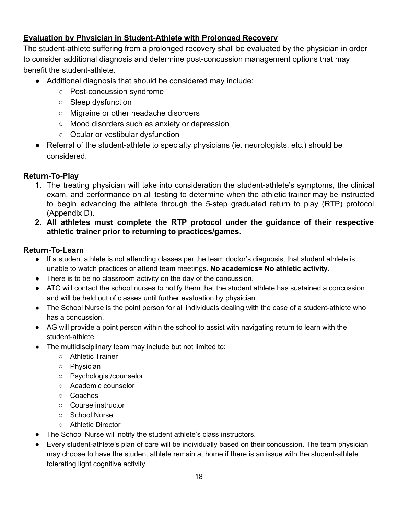## <span id="page-17-0"></span>**Evaluation by Physician in Student-Athlete with Prolonged Recovery**

The student-athlete suffering from a prolonged recovery shall be evaluated by the physician in order to consider additional diagnosis and determine post-concussion management options that may benefit the student-athlete.

- Additional diagnosis that should be considered may include:
	- Post-concussion syndrome
	- Sleep dysfunction
	- Migraine or other headache disorders
	- Mood disorders such as anxiety or depression
	- Ocular or vestibular dysfunction
- Referral of the student-athlete to specialty physicians (ie. neurologists, etc.) should be considered.

#### **Return-To-Play**

- 1. The treating physician will take into consideration the student-athlete's symptoms, the clinical exam, and performance on all testing to determine when the athletic trainer may be instructed to begin advancing the athlete through the 5-step graduated return to play (RTP) protocol (Appendix D).
- **2. All athletes must complete the RTP protocol under the guidance of their respective athletic trainer prior to returning to practices/games.**

#### **Return-To-Learn**

- ● If a student athlete is not attending classes per the team doctor's diagnosis, that student athlete is unable to watch practices or attend team meetings. **No academics= No athletic activity**.
- There is to be no classroom activity on the day of the concussion.
- ● ATC will contact the school nurses to notify them that the student athlete has sustained a concussion and will be held out of classes until further evaluation by physician.
- ● The School Nurse is the point person for all individuals dealing with the case of a student-athlete who has a concussion.
- ● AG will provide a point person within the school to assist with navigating return to learn with the student-athlete.
- ● The multidisciplinary team may include but not limited to:
	- Athletic Trainer
	- Physician
	- Psychologist/counselor
	- Academic counselor
	- Coaches
	- Course instructor
	- School Nurse
	- Athletic Director
- The School Nurse will notify the student athlete's class instructors.
- ● Every student-athlete's plan of care will be individually based on their concussion. The team physician may choose to have the student athlete remain at home if there is an issue with the student-athlete tolerating light cognitive activity.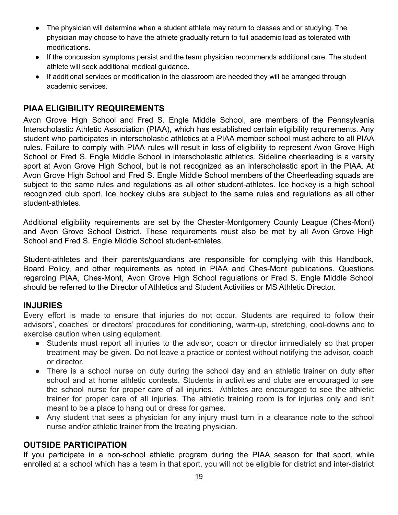- ● The physician will determine when a student athlete may return to classes and or studying. The physician may choose to have the athlete gradually return to full academic load as tolerated with modifications.
- ● If the concussion symptoms persist and the team physician recommends additional care. The student athlete will seek additional medical guidance.
- ● If additional services or modification in the classroom are needed they will be arranged through academic services.

# <span id="page-18-0"></span>**PIAA ELIGIBILITY REQUIREMENTS**

Avon Grove High School and Fred S. Engle Middle School, are members of the Pennsylvania Interscholastic Athletic Association (PIAA), which has established certain eligibility requirements. Any student who participates in interscholastic athletics at a PIAA member school must adhere to all PIAA rules. Failure to comply with PIAA rules will result in loss of eligibility to represent Avon Grove High School or Fred S. Engle Middle School in interscholastic athletics. Sideline cheerleading is a varsity sport at Avon Grove High School, but is not recognized as an interscholastic sport in the PIAA. At Avon Grove High School and Fred S. Engle Middle School members of the Cheerleading squads are subject to the same rules and regulations as all other student-athletes. Ice hockey is a high school recognized club sport. Ice hockey clubs are subject to the same rules and regulations as all other student-athletes.

Additional eligibility requirements are set by the Chester-Montgomery County League (Ches-Mont) and Avon Grove School District. These requirements must also be met by all Avon Grove High School and Fred S. Engle Middle School student-athletes.

Student-athletes and their parents/guardians are responsible for complying with this Handbook, Board Policy, and other requirements as noted in PIAA and Ches-Mont publications. Questions regarding PIAA, Ches-Mont, Avon Grove High School regulations or Fred S. Engle Middle School should be referred to the Director of Athletics and Student Activities or MS Athletic Director.

## <span id="page-18-1"></span>**INJURIES**

Every effort is made to ensure that injuries do not occur. Students are required to follow their advisors', coaches' or directors' procedures for conditioning, warm-up, stretching, cool-downs and to exercise caution when using equipment.

- Students must report all injuries to the advisor, coach or director immediately so that proper treatment may be given. Do not leave a practice or contest without notifying the advisor, coach or director.
- There is a school nurse on duty during the school day and an athletic trainer on duty after school and at home athletic contests. Students in activities and clubs are encouraged to see the school nurse for proper care of all injuries. Athletes are encouraged to see the athletic trainer for proper care of all injuries. The athletic training room is for injuries only and isn't meant to be a place to hang out or dress for games.
- Any student that sees a physician for any injury must turn in a clearance note to the school nurse and/or athletic trainer from the treating physician.

#### <span id="page-18-2"></span>**OUTSIDE PARTICIPATION**

If you participate in a non-school athletic program during the PIAA season for that sport, while enrolled at a school which has a team in that sport, you will not be eligible for district and inter-district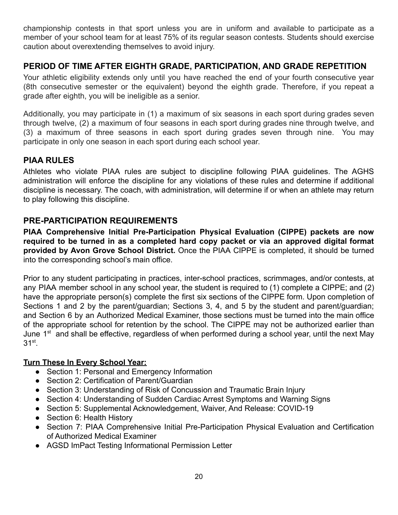championship contests in that sport unless you are in uniform and available to participate as a member of your school team for at least 75% of its regular season contests. Students should exercise caution about overextending themselves to avoid injury.

# <span id="page-19-0"></span> **PERIOD OF TIME AFTER EIGHTH GRADE, PARTICIPATION, AND GRADE REPETITION**

Your athletic eligibility extends only until you have reached the end of your fourth consecutive year (8th consecutive semester or the equivalent) beyond the eighth grade. Therefore, if you repeat a grade after eighth, you will be ineligible as a senior.

Additionally, you may participate in (1) a maximum of six seasons in each sport during grades seven through twelve, (2) a maximum of four seasons in each sport during grades nine through twelve, and (3) a maximum of three seasons in each sport during grades seven through nine. You may participate in only one season in each sport during each school year.

# <span id="page-19-1"></span>**PIAA RULES**

Athletes who violate PIAA rules are subject to discipline following PIAA guidelines. The AGHS administration will enforce the discipline for any violations of these rules and determine if additional discipline is necessary. The coach, with administration, will determine if or when an athlete may return to play following this discipline.

# <span id="page-19-2"></span>**PRE-PARTICIPATION REQUIREMENTS**

**PIAA Comprehensive Initial Pre-Participation Physical Evaluation (CIPPE) packets are now required to be turned in as a completed hard copy packet or via an approved digital format provided by Avon Grove School District.** Once the PIAA CIPPE is completed, it should be turned into the corresponding school's main office.

Prior to any student participating in practices, inter-school practices, scrimmages, and/or contests, at any PIAA member school in any school year, the student is required to (1) complete a CIPPE; and (2) have the appropriate person(s) complete the first six sections of the CIPPE form. Upon completion of Sections 1 and 2 by the parent/guardian; Sections 3, 4, and 5 by the student and parent/guardian; and Section 6 by an Authorized Medical Examiner, those sections must be turned into the main office of the appropriate school for retention by the school. The CIPPE may not be authorized earlier than June  $1<sup>st</sup>$  and shall be effective, regardless of when performed during a school year, until the next May 31st.

#### <span id="page-19-3"></span>**Turn These In Every School Year:**

- Section 1: Personal and Emergency Information
- Section 2: Certification of Parent/Guardian
- Section 3: Understanding of Risk of Concussion and Traumatic Brain Injury
- Section 4: Understanding of Sudden Cardiac Arrest Symptoms and Warning Signs
- Section 5: Supplemental Acknowledgement, Waiver, And Release: COVID-19
- Section 6: Health History
- Section 7: PIAA Comprehensive Initial Pre-Participation Physical Evaluation and Certification of Authorized Medical Examiner
- AGSD ImPact Testing Informational Permission Letter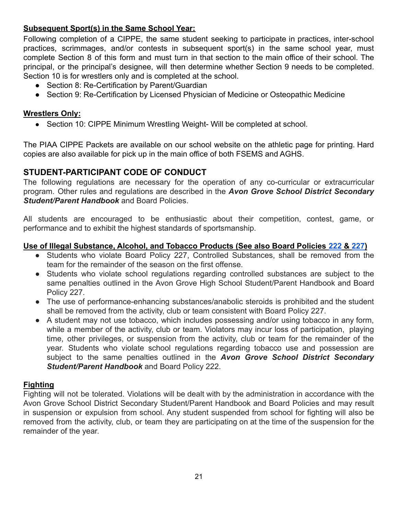## <span id="page-20-0"></span>**Subsequent Sport(s) in the Same School Year:**

Following completion of a CIPPE, the same student seeking to participate in practices, inter-school practices, scrimmages, and/or contests in subsequent sport(s) in the same school year, must complete Section 8 of this form and must turn in that section to the main office of their school. The principal, or the principal's designee, will then determine whether Section 9 needs to be completed. Section 10 is for wrestlers only and is completed at the school.

- Section 8: Re-Certification by Parent/Guardian
- Section 9: Re-Certification by Licensed Physician of Medicine or Osteopathic Medicine

#### <span id="page-20-1"></span>**Wrestlers Only:**

• Section 10: CIPPE Minimum Wrestling Weight- Will be completed at school.

The PIAA CIPPE Packets are available on our school website on the athletic page for printing. Hard copies are also available for pick up in the main office of both FSEMS and AGHS.

#### <span id="page-20-2"></span> **STUDENT-PARTICIPANT CODE OF CONDUCT**

The following regulations are necessary for the operation of any co-curricular or extracurricular program. Other rules and regulations are described in the *Avon Grove School District Secondary Student/Parent Handbook* and Board Policies.

All students are encouraged to be enthusiastic about their competition, contest, game, or performance and to exhibit the highest standards of sportsmanship.

#### <span id="page-20-3"></span>**Use of Illegal Substance, Alcohol, and Tobacco Products (See also Board Policies [222](http://go.boarddocs.com/pa/avongrove/Board.nsf/goto?open&id=BLNMG558C06C) & [227](http://go.boarddocs.com/pa/avongrove/Board.nsf/goto?open&id=AY4JWL4F2E2D))**

- Students who violate Board Policy 227, Controlled Substances, shall be removed from the team for the remainder of the season on the first offense.
- Students who violate school regulations regarding controlled substances are subject to the same penalties outlined in the Avon Grove High School Student/Parent Handbook and Board Policy 227.
- The use of performance-enhancing substances/anabolic steroids is prohibited and the student shall be removed from the activity, club or team consistent with Board Policy 227.
- A student may not use tobacco, which includes possessing and/or using tobacco in any form, while a member of the activity, club or team. Violators may incur loss of participation, playing time, other privileges, or suspension from the activity, club or team for the remainder of the year. Students who violate school regulations regarding tobacco use and possession are subject to the same penalties outlined in the *Avon Grove School District Secondary Student/Parent Handbook* and Board Policy 222.

#### <span id="page-20-4"></span>**Fighting**

<span id="page-20-5"></span>Fighting will not be tolerated. Violations will be dealt with by the administration in accordance with the Avon Grove School District Secondary Student/Parent Handbook and Board Policies and may result in suspension or expulsion from school. Any student suspended from school for fighting will also be removed from the activity, club, or team they are participating on at the time of the suspension for the remainder of the year.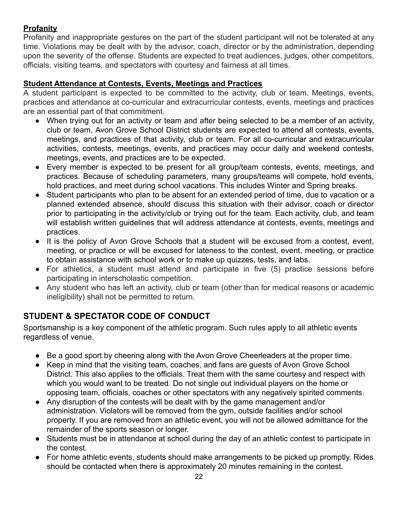# **Profanity**

Profanity and inappropriate gestures on the part of the student participant will not be tolerated at any time. Violations may be dealt with by the advisor, coach, director or by the administration, depending upon the severity of the offense. Students are expected to treat audiences, judges, other competitors, officials, visiting teams, and spectators with courtesy and fairness at all times.

## <span id="page-21-0"></span>**Student Attendance at Contests, Events, Meetings and Practices**

A student participant is expected to be committed to the activity, club or team. Meetings, events, practices and attendance at co-curricular and extracurricular contests, events, meetings and practices are an essential part of that commitment.

- When trying out for an activity or team and after being selected to be a member of an activity, club or team, Avon Grove School District students are expected to attend all contests, events, meetings, and practices of that activity, club or team. For all co-curricular and extracurricular activities, contests, meetings, events, and practices may occur daily and weekend contests, meetings, events, and practices are to be expected.
- Every member is expected to be present for all group/team contests, events, meetings, and practices. Because of scheduling parameters, many groups/teams will compete, hold events, hold practices, and meet during school vacations. This includes Winter and Spring breaks.
- Student participants who plan to be absent for an extended period of time, due to vacation or a planned extended absence, should discuss this situation with their advisor, coach or director prior to participating in the activity/club or trying out for the team. Each activity, club, and team will establish written guidelines that will address attendance at contests, events, meetings and practices.
- It is the policy of Avon Grove Schools that a student will be excused from a contest, event, meeting, or practice or will be excused for lateness to the contest, event, meeting, or practice to obtain assistance with school work or to make up quizzes, tests, and labs.
- For athletics, a student must attend and participate in five (5) practice sessions before participating in interscholastic competition.
- Any student who has left an activity, club or team (other than for medical reasons or academic ineligibility) shall not be permitted to return.

# <span id="page-21-1"></span> **STUDENT & SPECTATOR CODE OF CONDUCT**

Sportsmanship is a key component of the athletic program. Such rules apply to all athletic events regardless of venue.

- Be a good sport by cheering along with the Avon Grove Cheerleaders at the proper time.
- Keep in mind that the visiting team, coaches, and fans are guests of Avon Grove School District. This also applies to the officials. Treat them with the same courtesy and respect with which you would want to be treated. Do not single out individual players on the home or opposing team, officials, coaches or other spectators with any negatively spirited comments.
- Any disruption of the contests will be dealt with by the game management and/or administration. Violators will be removed from the gym, outside facilities and/or school property. If you are removed from an athletic event, you will not be allowed admittance for the remainder of the sports season or longer.
- Students must be in attendance at school during the day of an athletic contest to participate in the contest.
- For home athletic events, students should make arrangements to be picked up promptly. Rides should be contacted when there is approximately 20 minutes remaining in the contest.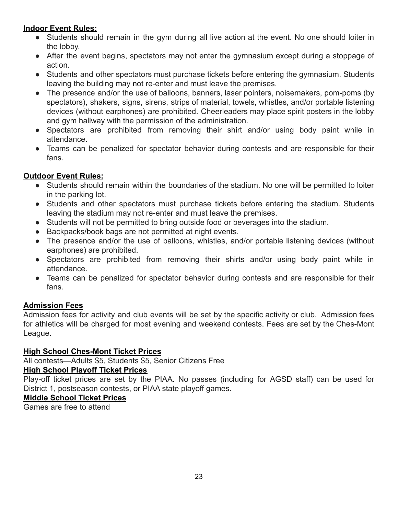## <span id="page-22-0"></span>**Indoor Event Rules:**

- Students should remain in the gym during all live action at the event. No one should loiter in the lobby.
- After the event begins, spectators may not enter the gymnasium except during a stoppage of action.
- Students and other spectators must purchase tickets before entering the gymnasium. Students leaving the building may not re-enter and must leave the premises.
- The presence and/or the use of balloons, banners, laser pointers, noisemakers, pom-poms (by spectators), shakers, signs, sirens, strips of material, towels, whistles, and/or portable listening devices (without earphones) are prohibited. Cheerleaders may place spirit posters in the lobby and gym hallway with the permission of the administration.
- Spectators are prohibited from removing their shirt and/or using body paint while in attendance.
- Teams can be penalized for spectator behavior during contests and are responsible for their fans.

## <span id="page-22-1"></span>**Outdoor Event Rules:**

- Students should remain within the boundaries of the stadium. No one will be permitted to loiter in the parking lot.
- Students and other spectators must purchase tickets before entering the stadium. Students leaving the stadium may not re-enter and must leave the premises.
- Students will not be permitted to bring outside food or beverages into the stadium.
- Backpacks/book bags are not permitted at night events.
- The presence and/or the use of balloons, whistles, and/or portable listening devices (without earphones) are prohibited.
- Spectators are prohibited from removing their shirts and/or using body paint while in attendance.
- Teams can be penalized for spectator behavior during contests and are responsible for their fans.

## <span id="page-22-2"></span>**Admission Fees**

Admission fees for activity and club events will be set by the specific activity or club. Admission fees for athletics will be charged for most evening and weekend contests. Fees are set by the Ches-Mont League.

#### <span id="page-22-3"></span>**High School Ches-Mont Ticket Prices**

All contests—Adults \$5, Students \$5, Senior Citizens Free

## <span id="page-22-4"></span>**High School Playoff Ticket Prices**

Play-off ticket prices are set by the PIAA. No passes (including for AGSD staff) can be used for District 1, postseason contests, or PIAA state playoff games.

#### <span id="page-22-5"></span>**Middle School Ticket Prices**

<span id="page-22-6"></span>Games are free to attend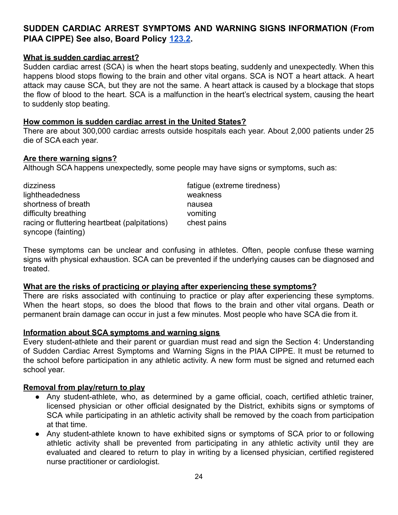# **PIAA CIPPE) See also, Board Policy [123.2](http://go.boarddocs.com/pa/avongrove/Board.nsf/goto?open&id=AXHMY55D795E). SUDDEN CARDIAC ARREST SYMPTOMS AND WARNING SIGNS INFORMATION (From**

#### <span id="page-23-0"></span>**What is sudden cardiac arrest?**

Sudden cardiac arrest (SCA) is when the heart stops beating, suddenly and unexpectedly. When this happens blood stops flowing to the brain and other vital organs. SCA is NOT a heart attack. A heart attack may cause SCA, but they are not the same. A heart attack is caused by a blockage that stops the flow of blood to the heart. SCA is a malfunction in the heart's electrical system, causing the heart to suddenly stop beating.

#### <span id="page-23-1"></span>**How common is sudden cardiac arrest in the United States?**

There are about 300,000 cardiac arrests outside hospitals each year. About 2,000 patients under 25 die of SCA each year.

#### <span id="page-23-2"></span>**Are there warning signs?**

Although SCA happens unexpectedly, some people may have signs or symptoms, such as:

dizziness fatigue (extreme tiredness) lightheadedness weakness shortness of breath nausea difficulty breathing vomiting variable values of the values of variable values of values of values of values of values of values of values of values of values of values of values of values of values of values of values of racing or fluttering heartbeat (palpitations) chest pains syncope (fainting)

These symptoms can be unclear and confusing in athletes. Often, people confuse these warning signs with physical exhaustion. SCA can be prevented if the underlying causes can be diagnosed and treated.

#### <span id="page-23-3"></span>**What are the risks of practicing or playing after experiencing these symptoms?**

There are risks associated with continuing to practice or play after experiencing these symptoms. When the heart stops, so does the blood that flows to the brain and other vital organs. Death or permanent brain damage can occur in just a few minutes. Most people who have SCA die from it.

#### <span id="page-23-4"></span>**Information about SCA symptoms and warning signs**

Every student-athlete and their parent or guardian must read and sign the Section 4: Understanding of Sudden Cardiac Arrest Symptoms and Warning Signs in the PIAA CIPPE. It must be returned to the school before participation in any athletic activity. A new form must be signed and returned each school year.

#### <span id="page-23-5"></span>**Removal from play/return to play**

- Any student-athlete, who, as determined by a game official, coach, certified athletic trainer, licensed physician or other official designated by the District, exhibits signs or symptoms of SCA while participating in an athletic activity shall be removed by the coach from participation at that time.
- Any student-athlete known to have exhibited signs or symptoms of SCA prior to or following athletic activity shall be prevented from participating in any athletic activity until they are evaluated and cleared to return to play in writing by a licensed physician, certified registered nurse practitioner or cardiologist.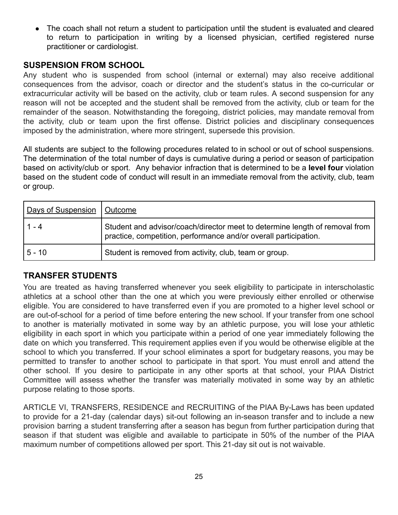The coach shall not return a student to participation until the student is evaluated and cleared to return to participation in writing by a licensed physician, certified registered nurse practitioner or cardiologist.

## <span id="page-24-0"></span> **SUSPENSION FROM SCHOOL**

Any student who is suspended from school (internal or external) may also receive additional consequences from the advisor, coach or director and the student's status in the co-curricular or extracurricular activity will be based on the activity, club or team rules. A second suspension for any reason will not be accepted and the student shall be removed from the activity, club or team for the remainder of the season. Notwithstanding the foregoing, district policies, may mandate removal from the activity, club or team upon the first offense. District policies and disciplinary consequences imposed by the administration, where more stringent, supersede this provision.

All students are subject to the following procedures related to in school or out of school suspensions. The determination of the total number of days is cumulative during a period or season of participation based on activity/club or sport. Any behavior infraction that is determined to be a **level four** violation based on the student code of conduct will result in an immediate removal from the activity, club, team or group.

| <b>Days of Suspension</b> | <u>l Outcome</u>                                                                                                                                |
|---------------------------|-------------------------------------------------------------------------------------------------------------------------------------------------|
| $1 - 4$                   | Student and advisor/coach/director meet to determine length of removal from<br>practice, competition, performance and/or overall participation. |
| $5 - 10$                  | Student is removed from activity, club, team or group.                                                                                          |

## <span id="page-24-1"></span>**TRANSFER STUDENTS**

You are treated as having transferred whenever you seek eligibility to participate in interscholastic athletics at a school other than the one at which you were previously either enrolled or otherwise eligible. You are considered to have transferred even if you are promoted to a higher level school or are out-of-school for a period of time before entering the new school. If your transfer from one school to another is materially motivated in some way by an athletic purpose, you will lose your athletic eligibility in each sport in which you participate within a period of one year immediately following the date on which you transferred. This requirement applies even if you would be otherwise eligible at the school to which you transferred. If your school eliminates a sport for budgetary reasons, you may be permitted to transfer to another school to participate in that sport. You must enroll and attend the other school. If you desire to participate in any other sports at that school, your PIAA District Committee will assess whether the transfer was materially motivated in some way by an athletic purpose relating to those sports.

ARTICLE VI, TRANSFERS, RESIDENCE and RECRUITING of the PIAA By-Laws has been updated to provide for a 21-day (calendar days) sit-out following an in-season transfer and to include a new provision barring a student transferring after a season has begun from further participation during that season if that student was eligible and available to participate in 50% of the number of the PIAA maximum number of competitions allowed per sport. This 21-day sit out is not waivable.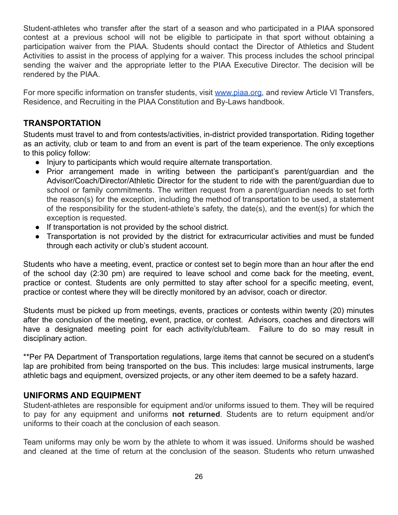Student-athletes who transfer after the start of a season and who participated in a PIAA sponsored contest at a previous school will not be eligible to participate in that sport without obtaining a participation waiver from the PIAA. Students should contact the Director of Athletics and Student Activities to assist in the process of applying for a waiver. This process includes the school principal sending the waiver and the appropriate letter to the PIAA Executive Director. The decision will be rendered by the PIAA.

For more specific information on transfer students, visit [www.piaa.org,](http://www.piaa.org) and review Article VI Transfers, Residence, and Recruiting in the PIAA Constitution and By-Laws handbook.

## <span id="page-25-0"></span>**TRANSPORTATION**

Students must travel to and from contests/activities, in-district provided transportation. Riding together as an activity, club or team to and from an event is part of the team experience. The only exceptions to this policy follow:

- Injury to participants which would require alternate transportation.
- Prior arrangement made in writing between the participant's parent/guardian and the Advisor/Coach/Director/Athletic Director for the student to ride with the parent/guardian due to school or family commitments. The written request from a parent/guardian needs to set forth the reason(s) for the exception, including the method of transportation to be used, a statement of the responsibility for the student-athlete's safety, the date(s), and the event(s) for which the exception is requested.
- If transportation is not provided by the school district.
- Transportation is not provided by the district for extracurricular activities and must be funded through each activity or club's student account.

Students who have a meeting, event, practice or contest set to begin more than an hour after the end of the school day (2:30 pm) are required to leave school and come back for the meeting, event, practice or contest. Students are only permitted to stay after school for a specific meeting, event, practice or contest where they will be directly monitored by an advisor, coach or director.

Students must be picked up from meetings, events, practices or contests within twenty (20) minutes after the conclusion of the meeting, event, practice, or contest. Advisors, coaches and directors will have a designated meeting point for each activity/club/team. Failure to do so may result in disciplinary action.

\*\*Per PA Department of Transportation regulations, large items that cannot be secured on a student's lap are prohibited from being transported on the bus. This includes: large musical instruments, large athletic bags and equipment, oversized projects, or any other item deemed to be a safety hazard.

#### <span id="page-25-1"></span> **UNIFORMS AND EQUIPMENT**

Student-athletes are responsible for equipment and/or uniforms issued to them. They will be required to pay for any equipment and uniforms **not returned**. Students are to return equipment and/or uniforms to their coach at the conclusion of each season.

Team uniforms may only be worn by the athlete to whom it was issued. Uniforms should be washed and cleaned at the time of return at the conclusion of the season. Students who return unwashed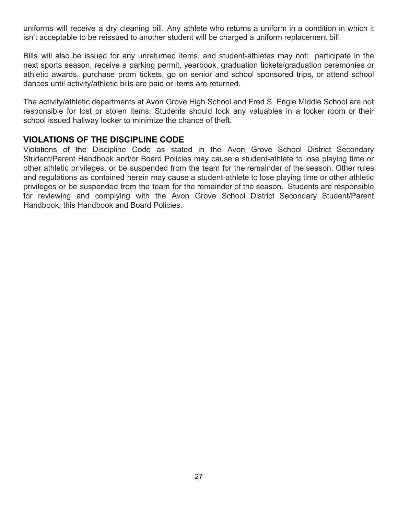uniforms will receive a dry cleaning bill. Any athlete who returns a uniform in a condition in which it isn't acceptable to be reissued to another student will be charged a uniform replacement bill.

Bills will also be issued for any unreturned items, and student-athletes may not: participate in the next sports season, receive a parking permit, yearbook, graduation tickets/graduation ceremonies or athletic awards, purchase prom tickets, go on senior and school sponsored trips, or attend school dances until activity/athletic bills are paid or items are returned.

The activity/athletic departments at Avon Grove High School and Fred S. Engle Middle School are not responsible for lost or stolen items. Students should lock any valuables in a locker room or their school issued hallway locker to minimize the chance of theft.

## <span id="page-26-0"></span> **VIOLATIONS OF THE DISCIPLINE CODE**

Violations of the Discipline Code as stated in the Avon Grove School District Secondary Student/Parent Handbook and/or Board Policies may cause a student-athlete to lose playing time or other athletic privileges, or be suspended from the team for the remainder of the season. Other rules and regulations as contained herein may cause a student-athlete to lose playing time or other athletic privileges or be suspended from the team for the remainder of the season. Students are responsible for reviewing and complying with the Avon Grove School District Secondary Student/Parent Handbook, this Handbook and Board Policies.